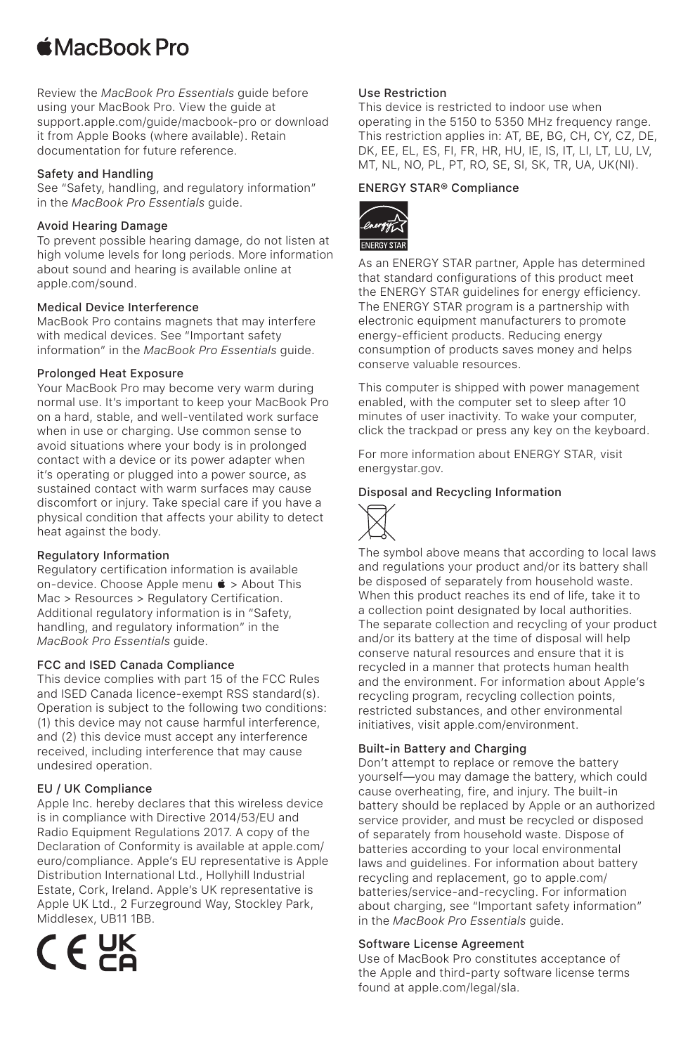# **■MacBook Pro**

Review the *MacBook Pro Essentials* guide before using your MacBook Pro. View the guide at [support.apple.com/guide/macbook-pro](http://support.apple.com/guide/macbook-pro) or download it from Apple Books (where available). Retain documentation for future reference.

#### Safety and Handling

See "Safety, handling, and regulatory information" in the *MacBook Pro Essentials* guide.

#### Avoid Hearing Damage

To prevent possible hearing damage, do not listen at high volume levels for long periods. More information about sound and hearing is available online at [apple.com/sound](http://apple.com/sound).

Medical Device Interference MacBook Pro contains magnets that may interfere with medical devices. See "Important safety information" in the *MacBook Pro Essentials* guide.

#### Prolonged Heat Exposure

Your MacBook Pro may become very warm during normal use. It's important to keep your MacBook Pro on a hard, stable, and well-ventilated work surface when in use or charging. Use common sense to avoid situations where your body is in prolonged contact with a device or its power adapter when it's operating or plugged into a power source, as sustained contact with warm surfaces may cause discomfort or injury. Take special care if you have a physical condition that affects your ability to detect heat against the body.

### Regulatory Information

Regulatory certification information is available on-device. Choose Apple menu  $\bullet$  > About This Mac > Resources > Regulatory Certification. Additional regulatory information is in "Safety, handling, and regulatory information" in the *MacBook Pro Essentials* guide.

### FCC and ISED Canada Compliance

This device complies with part 15 of the FCC Rules and ISED Canada licence-exempt RSS standard(s). Operation is subject to the following two conditions: (1) this device may not cause harmful interference, and (2) this device must accept any interference received, including interference that may cause undesired operation.

### EU / UK Compliance

Apple Inc. hereby declares that this wireless device is in compliance with Directive 2014/53/EU and Radio Equipment Regulations 2017. A copy of the Declaration of Conformity is available at [apple.com/](http://apple.com/euro/compliance) [euro/compliance.](http://apple.com/euro/compliance) Apple's EU representative is Apple Distribution International Ltd., Hollyhill Industrial Estate, Cork, Ireland. Apple's UK representative is Apple UK Ltd., 2 Furzeground Way, Stockley Park, Middlesex, UB11 1BB.

 $C \in \mathcal{G}_{\mathsf{K}}^{\mathsf{K}}$ 

## Use Restriction

This device is restricted to indoor use when operating in the 5150 to 5350 MHz frequency range. This restriction applies in: AT, BE, BG, CH, CY, CZ, DE, DK, EE, EL, ES, FI, FR, HR, HU, IE, IS, IT, LI, LT, LU, LV, MT, NL, NO, PL, PT, RO, SE, SI, SK, TR, UA, UK(NI).

# ENERGY STAR® Compliance



As an ENERGY STAR partner, Apple has determined that standard configurations of this product meet the ENERGY STAR guidelines for energy efficiency. The ENERGY STAR program is a partnership with electronic equipment manufacturers to promote energy-efficient products. Reducing energy consumption of products saves money and helps conserve valuable resources.

This computer is shipped with power management enabled, with the computer set to sleep after 10 minutes of user inactivity. To wake your computer, click the trackpad or press any key on the keyboard.

For more information about ENERGY STAR, visit [energystar.gov.](http://energystar.gov)

### Disposal and Recycling Information



The symbol above means that according to local laws and regulations your product and/or its battery shall be disposed of separately from household waste. When this product reaches its end of life, take it to a collection point designated by local authorities. The separate collection and recycling of your product and/or its battery at the time of disposal will help conserve natural resources and ensure that it is recycled in a manner that protects human health and the environment. For information about Apple's recycling program, recycling collection points, restricted substances, and other environmental initiatives, visit [apple.com/environment](http://apple.com/environment).

### Built-in Battery and Charging

Don't attempt to replace or remove the battery yourself—you may damage the battery, which could cause overheating, fire, and injury. The built-in battery should be replaced by Apple or an authorized service provider, and must be recycled or disposed of separately from household waste. Dispose of batteries according to your local environmental laws and guidelines. For information about battery recycling and replacement, go to [apple.com/](http://apple.com/batteries/service-and-recycling) [batteries/service-and-recycling.](http://apple.com/batteries/service-and-recycling) For information about charging, see "Important safety information" in the *MacBook Pro Essentials* guide.

#### Software License Agreement

Use of MacBook Pro constitutes acceptance of the Apple and third-party software license terms found at [apple.com/legal/sla.](http://apple.com/legal/sla)